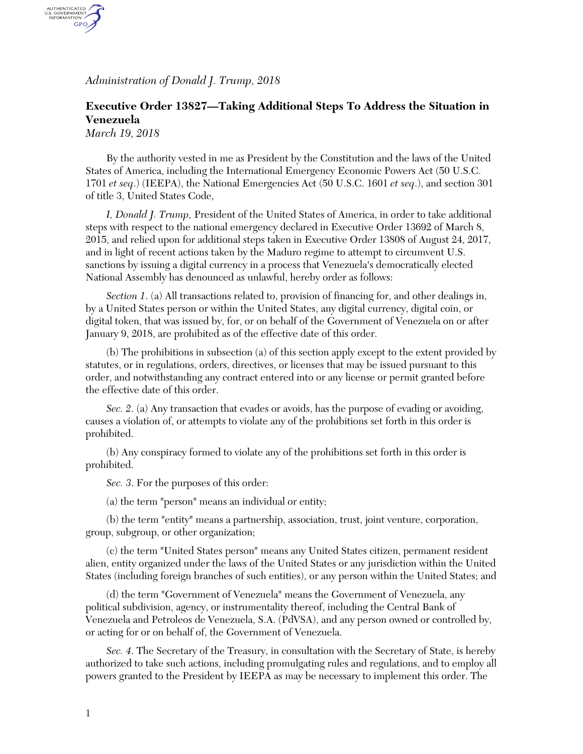*Administration of Donald J. Trump, 2018*

## **Executive Order 13827—Taking Additional Steps To Address the Situation in Venezuela**

*March 19, 2018*

AUTHENTICATED<br>U.S. GOVERNMENT<br>INFORMATION GPO.

> By the authority vested in me as President by the Constitution and the laws of the United States of America, including the International Emergency Economic Powers Act (50 U.S.C. 1701 *et seq*.) (IEEPA), the National Emergencies Act (50 U.S.C. 1601 *et seq*.), and section 301 of title 3, United States Code,

> *I, Donald J. Trump,* President of the United States of America, in order to take additional steps with respect to the national emergency declared in Executive Order 13692 of March 8, 2015, and relied upon for additional steps taken in Executive Order 13808 of August 24, 2017, and in light of recent actions taken by the Maduro regime to attempt to circumvent U.S. sanctions by issuing a digital currency in a process that Venezuela's democratically elected National Assembly has denounced as unlawful, hereby order as follows:

> *Section 1*. (a) All transactions related to, provision of financing for, and other dealings in, by a United States person or within the United States, any digital currency, digital coin, or digital token, that was issued by, for, or on behalf of the Government of Venezuela on or after January 9, 2018, are prohibited as of the effective date of this order.

(b) The prohibitions in subsection (a) of this section apply except to the extent provided by statutes, or in regulations, orders, directives, or licenses that may be issued pursuant to this order, and notwithstanding any contract entered into or any license or permit granted before the effective date of this order.

*Sec. 2. (a)* Any transaction that evades or avoids, has the purpose of evading or avoiding, causes a violation of, or attempts to violate any of the prohibitions set forth in this order is prohibited.

(b) Any conspiracy formed to violate any of the prohibitions set forth in this order is prohibited.

*Sec. 3*. For the purposes of this order:

(a) the term "person" means an individual or entity;

(b) the term "entity" means a partnership, association, trust, joint venture, corporation, group, subgroup, or other organization;

(c) the term "United States person" means any United States citizen, permanent resident alien, entity organized under the laws of the United States or any jurisdiction within the United States (including foreign branches of such entities), or any person within the United States; and

(d) the term "Government of Venezuela" means the Government of Venezuela, any political subdivision, agency, or instrumentality thereof, including the Central Bank of Venezuela and Petroleos de Venezuela, S.A. (PdVSA), and any person owned or controlled by, or acting for or on behalf of, the Government of Venezuela.

*Sec. 4*. The Secretary of the Treasury, in consultation with the Secretary of State, is hereby authorized to take such actions, including promulgating rules and regulations, and to employ all powers granted to the President by IEEPA as may be necessary to implement this order. The